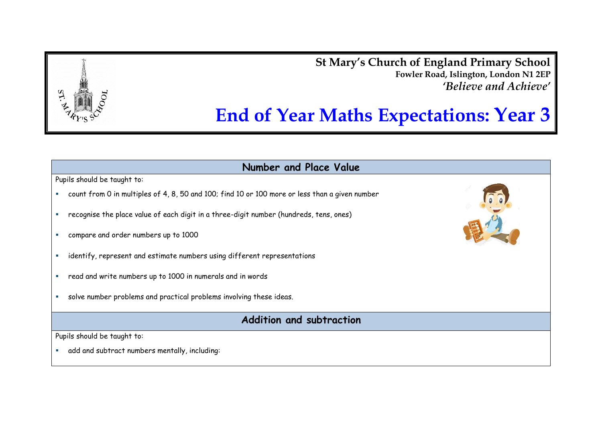**St Mary's Church of England Primary School Fowler Road, Islington, London N1 2EP** *'Believe and Achieve'*



**Number and Place Value** Pupils should be taught to: count from 0 in multiples of 4, 8, 50 and 100; find 10 or 100 more or less than a given number recognise the place value of each digit in a three-digit number (hundreds, tens, ones) compare and order numbers up to 1000 identify, represent and estimate numbers using different representations read and write numbers up to 1000 in numerals and in words solve number problems and practical problems involving these ideas. **Addition and subtraction** Pupils should be taught to:

add and subtract numbers mentally, including: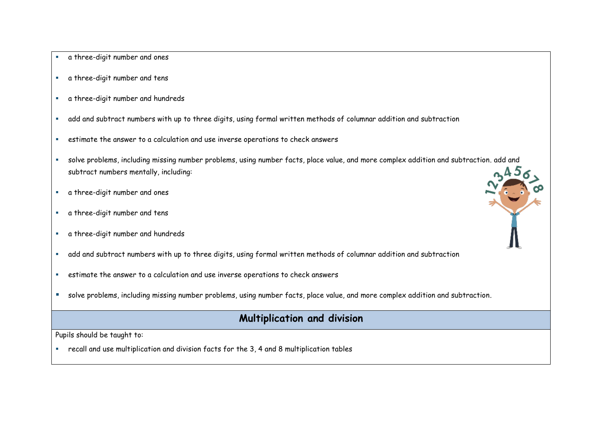- a three-digit number and ones
- a three-digit number and tens
- a three-digit number and hundreds
- add and subtract numbers with up to three digits, using formal written methods of columnar addition and subtraction
- estimate the answer to a calculation and use inverse operations to check answers
- solve problems, including missing number problems, using number facts, place value, and more complex addition and subtraction. add and subtract numbers mentally, including:  $0.45<$
- a three-digit number and ones
- a three-digit number and tens
- a three-digit number and hundreds
- add and subtract numbers with up to three digits, using formal written methods of columnar addition and subtraction
- estimate the answer to a calculation and use inverse operations to check answers
- solve problems, including missing number problems, using number facts, place value, and more complex addition and subtraction.

## **Multiplication and division**

Pupils should be taught to:

recall and use multiplication and division facts for the 3, 4 and 8 multiplication tables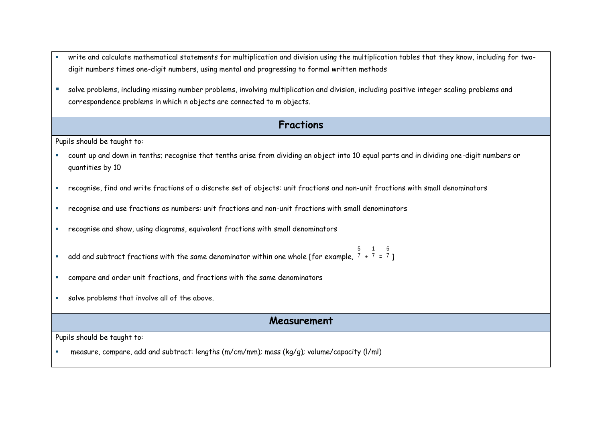- write and calculate mathematical statements for multiplication and division using the multiplication tables that they know, including for twodigit numbers times one-digit numbers, using mental and progressing to formal written methods
- solve problems, including missing number problems, involving multiplication and division, including positive integer scaling problems and correspondence problems in which n objects are connected to m objects.

### **Fractions**

Pupils should be taught to:

- count up and down in tenths; recognise that tenths arise from dividing an object into 10 equal parts and in dividing one-digit numbers or quantities by 10
- recognise, find and write fractions of a discrete set of objects: unit fractions and non-unit fractions with small denominators
- recognise and use fractions as numbers: unit fractions and non-unit fractions with small denominators
- recognise and show, using diagrams, equivalent fractions with small denominators
- $\bar{\ }$  add and subtract fractions with the same denominator within one whole [for example,  $^7$ 5 + 7 1 = 7 6
- compare and order unit fractions, and fractions with the same denominators
- solve problems that involve all of the above.

#### **Measurement**

]

Pupils should be taught to:

measure, compare, add and subtract: lengths (m/cm/mm); mass (kg/g); volume/capacity (l/ml)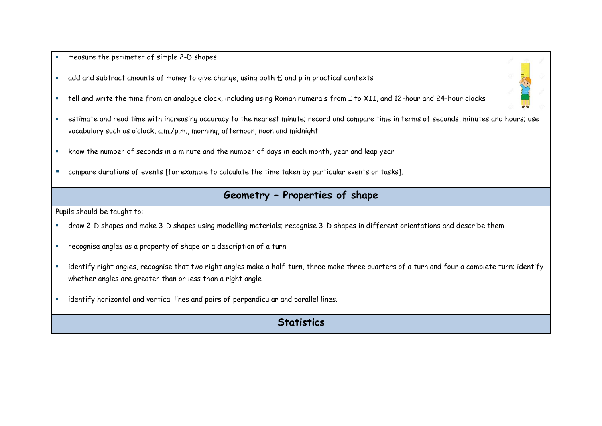#### measure the perimeter of simple 2-D shapes

- add and subtract amounts of money to give change, using both £ and p in practical contexts
- tell and write the time from an analogue clock, including using Roman numerals from I to XII, and 12-hour and 24-hour clocks
- estimate and read time with increasing accuracy to the nearest minute; record and compare time in terms of seconds, minutes and hours; use vocabulary such as o'clock, a.m./p.m., morning, afternoon, noon and midnight
- know the number of seconds in a minute and the number of days in each month, year and leap year
- **E** compare durations of events [for example to calculate the time taken by particular events or tasks].

## **Geometry – Properties of shape**

Pupils should be taught to:

- draw 2-D shapes and make 3-D shapes using modelling materials; recognise 3-D shapes in different orientations and describe them
- recognise angles as a property of shape or a description of a turn
- identify right angles, recognise that two right angles make a half-turn, three make three quarters of a turn and four a complete turn; identify whether angles are greater than or less than a right angle
- **EXED identify horizontal and vertical lines and pairs of perpendicular and parallel lines.**

# **Statistics**